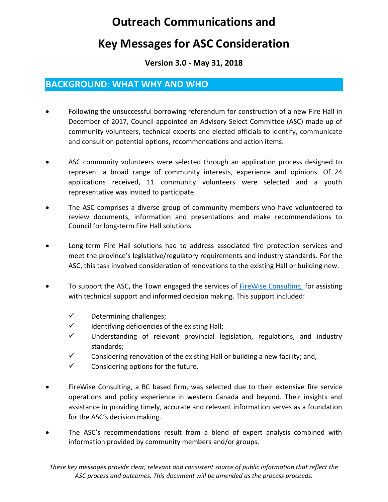# **Outreach Communications and**

# **Key Messages for ASC Consideration**

#### **Version 3.0 - May 31, 2018**

## **BACKGROUND: WHAT WHY AND WHO**

- Following the unsuccessful borrowing referendum for construction of a new Fire Hall in December of 2017, Council appointed an Advisory Select Committee (ASC) made up of community volunteers, technical experts and elected officials to identify, communicate and consult on potential options, recommendations and action items.
- ASC community volunteers were selected through an application process designed to represent a broad range of community interests, experience and opinions. Of 24 applications received, 11 community volunteers were selected and a youth representative was invited to participate.
- The ASC comprises a diverse group of community members who have volunteered to review documents, information and presentations and make recommendations to Council for long-term Fire Hall solutions.
- Long-term Fire Hall solutions had to address associated fire protection services and meet the province's legislative/regulatory requirements and industry standards. For the ASC, this task involved consideration of renovations to the existing Hall or building new.
- To support the ASC, the Town engaged the services of [FireWise Consulting](https://www.firewiseconsulting.com/) for assisting with technical support and informed decision making. This support included:
	- ✓ Determining challenges;
	- $\checkmark$  Identifying deficiencies of the existing Hall;
	- ✓ Understanding of relevant provincial legislation, regulations, and industry standards;
	- $\checkmark$  Considering renovation of the existing Hall or building a new facility; and,
	- $\checkmark$  Considering options for the future.
- FireWise Consulting, a BC based firm, was selected due to their extensive fire service operations and policy experience in western Canada and beyond. Their insights and assistance in providing timely, accurate and relevant information serves as a foundation for the ASC's decision making.
- The ASC's recommendations result from a blend of expert analysis combined with information provided by community members and/or groups.

*These key messages provide clear, relevant and consistent source of public information that reflect the ASC process and outcomes. This document will be amended as the process proceeds.*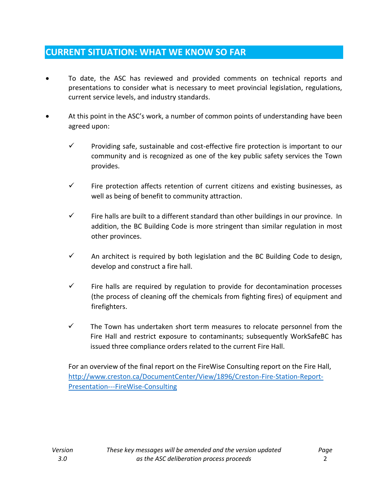# **CURRENT SITUATION: WHAT WE KNOW SO FAR**

- To date, the ASC has reviewed and provided comments on technical reports and presentations to consider what is necessary to meet provincial legislation, regulations, current service levels, and industry standards.
- At this point in the ASC's work, a number of common points of understanding have been agreed upon:
	- $\checkmark$  Providing safe, sustainable and cost-effective fire protection is important to our community and is recognized as one of the key public safety services the Town provides.
	- $\checkmark$  Fire protection affects retention of current citizens and existing businesses, as well as being of benefit to community attraction.
	- $\checkmark$  Fire halls are built to a different standard than other buildings in our province. In addition, the BC Building Code is more stringent than similar regulation in most other provinces.
	- $\checkmark$  An architect is required by both legislation and the BC Building Code to design, develop and construct a fire hall.
	- $\checkmark$  Fire halls are required by regulation to provide for decontamination processes (the process of cleaning off the chemicals from fighting fires) of equipment and firefighters.
	- $\checkmark$  The Town has undertaken short term measures to relocate personnel from the Fire Hall and restrict exposure to contaminants; subsequently WorkSafeBC has issued three compliance orders related to the current Fire Hall.

For an overview of the final report on the FireWise Consulting report on the Fire Hall, [http://www.creston.ca/DocumentCenter/View/1896/Creston-Fire-Station-Report-](http://www.creston.ca/DocumentCenter/View/1896/Creston-Fire-Station-Report-Presentation---FireWise-Consulting)[Presentation---FireWise-Consulting](http://www.creston.ca/DocumentCenter/View/1896/Creston-Fire-Station-Report-Presentation---FireWise-Consulting)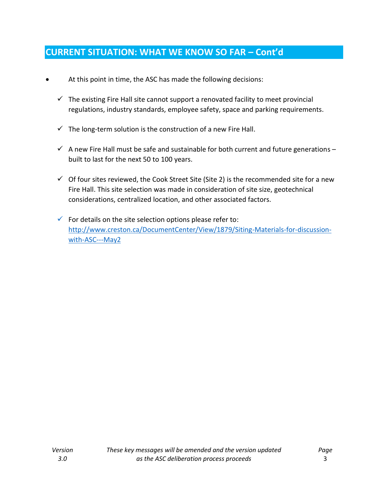# **CURRENT SITUATION: WHAT WE KNOW SO FAR – Cont'd**

- At this point in time, the ASC has made the following decisions:
	- $\checkmark$  The existing Fire Hall site cannot support a renovated facility to meet provincial regulations, industry standards, employee safety, space and parking requirements.
	- $\checkmark$  The long-term solution is the construction of a new Fire Hall.
	- $\checkmark$  A new Fire Hall must be safe and sustainable for both current and future generations built to last for the next 50 to 100 years.
	- $\checkmark$  Of four sites reviewed, the Cook Street Site (Site 2) is the recommended site for a new Fire Hall. This site selection was made in consideration of site size, geotechnical considerations, centralized location, and other associated factors.
	- $\checkmark$  For details on the site selection options please refer to: [http://www.creston.ca/DocumentCenter/View/1879/Siting-Materials-for-discussion](http://www.creston.ca/DocumentCenter/View/1879/Siting-Materials-for-discussion-with-ASC---May2)[with-ASC---May2](http://www.creston.ca/DocumentCenter/View/1879/Siting-Materials-for-discussion-with-ASC---May2)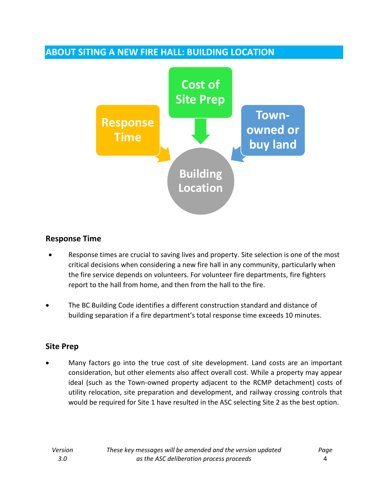# **ABOUT SITING A NEW FIRE HALL: BUILDING LOCATION**



## **Response Time**

- Response times are crucial to saving lives and property. Site selection is one of the most critical decisions when considering a new fire hall in any community, particularly when the fire service depends on volunteers. For volunteer fire departments, fire fighters report to the hall from home, and then from the hall to the fire.
- The BC Building Code identifies a different construction standard and distance of building separation if a fire department's total response time exceeds 10 minutes.

## **Site Prep**

• Many factors go into the true cost of site development. Land costs are an important consideration, but other elements also affect overall cost. While a property may appear ideal (such as the Town-owned property adjacent to the RCMP detachment) costs of utility relocation, site preparation and development, and railway crossing controls that would be required for Site 1 have resulted in the ASC selecting Site 2 as the best option.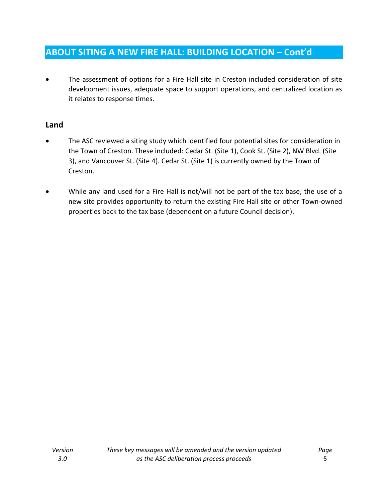## **ABOUT SITING A NEW FIRE HALL: BUILDING LOCATION – Cont'd**

The assessment of options for a Fire Hall site in Creston included consideration of site development issues, adequate space to support operations, and centralized location as it relates to response times.

#### **Land**

- The ASC reviewed a siting study which identified four potential sites for consideration in the Town of Creston. These included: Cedar St. (Site 1), Cook St. (Site 2), NW Blvd. (Site 3), and Vancouver St. (Site 4). Cedar St. (Site 1) is currently owned by the Town of Creston.
- While any land used for a Fire Hall is not/will not be part of the tax base, the use of a new site provides opportunity to return the existing Fire Hall site or other Town-owned properties back to the tax base (dependent on a future Council decision).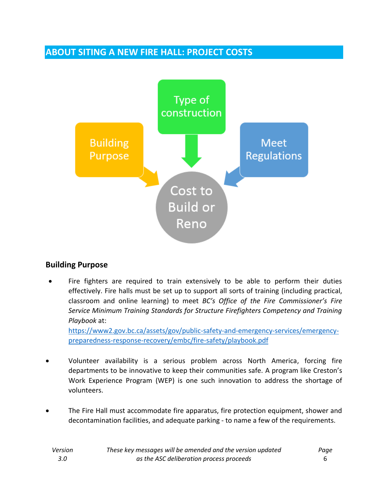## **ABOUT SITING A NEW FIRE HALL: PROJECT COSTS**



#### **Building Purpose**

Fire fighters are required to train extensively to be able to perform their duties effectively. Fire halls must be set up to support all sorts of training (including practical, classroom and online learning) to meet *BC's Office of the Fire Commissioner's Fire Service Minimum Training Standards for Structure Firefighters Competency and Training Playbook* at:

[https://www2.gov.bc.ca/assets/gov/public-safety-and-emergency-services/emergency](https://www2.gov.bc.ca/assets/gov/public-safety-and-emergency-services/emergency-preparedness-response-recovery/embc/fire-safety/playbook.pdf)[preparedness-response-recovery/embc/fire-safety/playbook.pdf](https://www2.gov.bc.ca/assets/gov/public-safety-and-emergency-services/emergency-preparedness-response-recovery/embc/fire-safety/playbook.pdf)

- Volunteer availability is a serious problem across North America, forcing fire departments to be innovative to keep their communities safe. A program like Creston's Work Experience Program (WEP) is one such innovation to address the shortage of volunteers.
- The Fire Hall must accommodate fire apparatus, fire protection equipment, shower and decontamination facilities, and adequate parking - to name a few of the requirements.

| Version | These key messages will be amended and the version updated | Page |
|---------|------------------------------------------------------------|------|
| 3.O     | as the ASC deliberation process proceeds                   |      |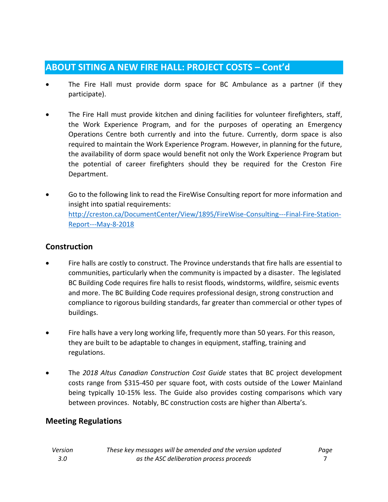## **ABOUT SITING A NEW FIRE HALL: PROJECT COSTS – Cont'd**

- The Fire Hall must provide dorm space for BC Ambulance as a partner (if they participate).
- The Fire Hall must provide kitchen and dining facilities for volunteer firefighters, staff, the Work Experience Program, and for the purposes of operating an Emergency Operations Centre both currently and into the future. Currently, dorm space is also required to maintain the Work Experience Program. However, in planning for the future, the availability of dorm space would benefit not only the Work Experience Program but the potential of career firefighters should they be required for the Creston Fire Department.
- Go to the following link to read the FireWise Consulting report for more information and insight into spatial requirements: [http://creston.ca/DocumentCenter/View/1895/FireWise-Consulting---Final-Fire-Station-](http://creston.ca/DocumentCenter/View/1895/FireWise-Consulting---Final-Fire-Station-Report---May-8-2018)[Report---May-8-2018](http://creston.ca/DocumentCenter/View/1895/FireWise-Consulting---Final-Fire-Station-Report---May-8-2018)

### **Construction**

- Fire halls are costly to construct. The Province understands that fire halls are essential to communities, particularly when the community is impacted by a disaster. The legislated BC Building Code requires fire halls to resist floods, windstorms, wildfire, seismic events and more. The BC Building Code requires professional design, strong construction and compliance to rigorous building standards, far greater than commercial or other types of buildings.
- Fire halls have a very long working life, frequently more than 50 years. For this reason, they are built to be adaptable to changes in equipment, staffing, training and regulations.
- The *2018 Altus Canadian Construction Cost Guide* states that BC project development costs range from \$315-450 per square foot, with costs outside of the Lower Mainland being typically 10-15% less. The Guide also provides costing comparisons which vary between provinces. Notably, BC construction costs are higher than Alberta's.

## **Meeting Regulations**

| Version | These key messages will be amended and the version updated | Page |
|---------|------------------------------------------------------------|------|
| 3.0     | as the ASC deliberation process proceeds                   |      |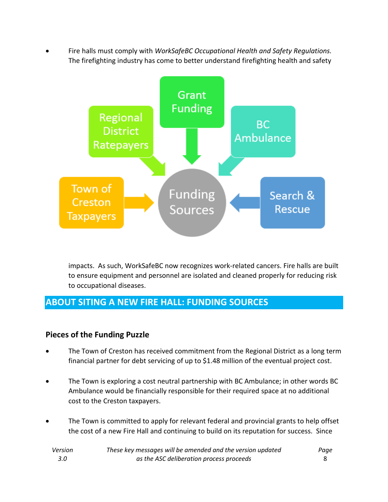• Fire halls must comply with *WorkSafeBC Occupational Health and Safety Regulations.* The firefighting industry has come to better understand firefighting health and safety



impacts. As such, WorkSafeBC now recognizes work-related cancers. Fire halls are built to ensure equipment and personnel are isolated and cleaned properly for reducing risk to occupational diseases.

# **ABOUT SITING A NEW FIRE HALL: FUNDING SOURCES**

## **Pieces of the Funding Puzzle**

- The Town of Creston has received commitment from the Regional District as a long term financial partner for debt servicing of up to \$1.48 million of the eventual project cost.
- The Town is exploring a cost neutral partnership with BC Ambulance; in other words BC Ambulance would be financially responsible for their required space at no additional cost to the Creston taxpayers.
- The Town is committed to apply for relevant federal and provincial grants to help offset the cost of a new Fire Hall and continuing to build on its reputation for success. Since

| Version | These key messages will be amended and the version updated | Page |
|---------|------------------------------------------------------------|------|
| -3.0    | as the ASC deliberation process proceeds                   |      |